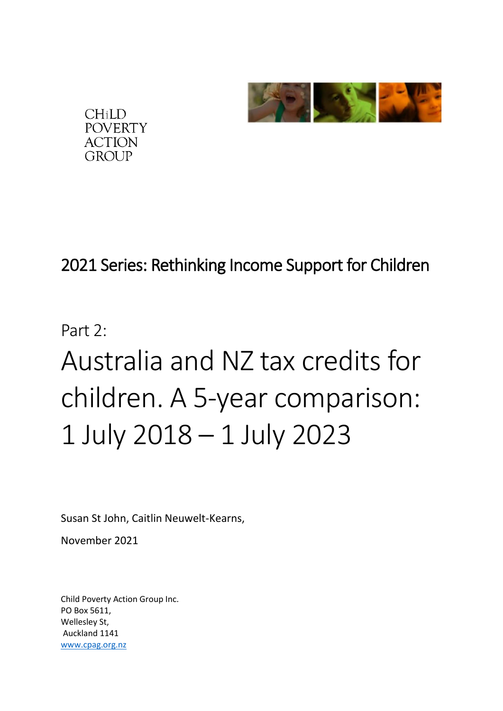



# 2021 Series: Rethinking Income Support for Children

# Part  $2 \cdot$ Australia and NZ tax credits for children. A 5-year comparison: 1 July 2018 – 1 July 2023

Susan St John, Caitlin Neuwelt-Kearns,

November 2021

Child Poverty Action Group Inc. PO Box 5611, Wellesley St, Auckland 1141 [www.cpag.org.nz](http://www.cpag.org.nz/)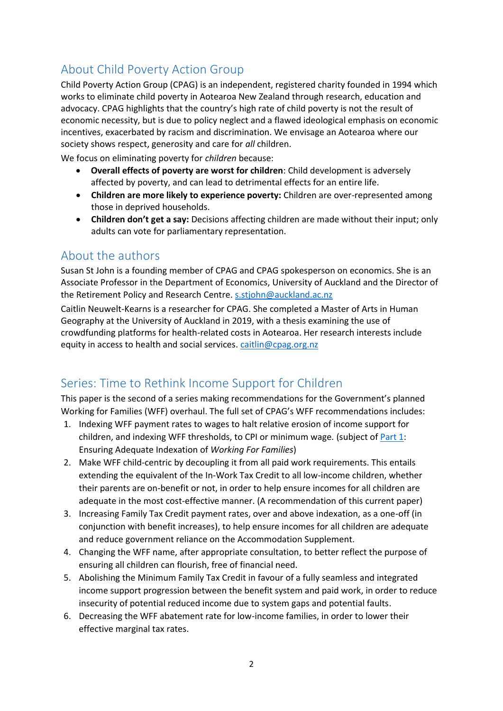# About Child Poverty Action Group

Child Poverty Action Group (CPAG) is an independent, registered charity founded in 1994 which works to eliminate child poverty in Aotearoa New Zealand through research, education and advocacy. CPAG highlights that the country's high rate of child poverty is not the result of economic necessity, but is due to policy neglect and a flawed ideological emphasis on economic incentives, exacerbated by racism and discrimination. We envisage an Aotearoa where our society shows respect, generosity and care for *all* children.

We focus on eliminating poverty for *children* because:

- **Overall effects of poverty are worst for children**: Child development is adversely affected by poverty, and can lead to detrimental effects for an entire life.
- **Children are more likely to experience poverty:** Children are over-represented among those in deprived households.
- **Children don't get a say:** Decisions affecting children are made without their input; only adults can vote for parliamentary representation.

### About the authors

Susan St John is a founding member of CPAG and CPAG spokesperson on economics. She is an Associate Professor in the Department of Economics, University of Auckland and the Director of the Retirement Policy and Research Centre. [s.stjohn@auckland.ac.nz](mailto:s.stjohn@auckland.ac.nz)

Caitlin Neuwelt-Kearns is a researcher for CPAG. She completed a Master of Arts in Human Geography at the University of Auckland in 2019, with a thesis examining the use of crowdfunding platforms for health-related costs in Aotearoa. Her research interests include equity in access to health and social services. [caitlin@cpag.org.nz](mailto:caitlin@cpag.org.nz)

## Series: Time to Rethink Income Support for Children

This paper is the second of a series making recommendations for the Government's planned Working for Families (WFF) overhaul. The full set of CPAG's WFF recommendations includes:

- 1. Indexing WFF payment rates to wages to halt relative erosion of income support for children, and indexing WFF thresholds, to CPI or minimum wage*.* (subject of [Part 1:](https://www.cpag.org.nz/assets/WFFSeries1EnsuringAdequateIndexationofWorkingforFamilies5May2021.pdf) Ensuring Adequate Indexation of *Working For Families*)
- 2. Make WFF child-centric by decoupling it from all paid work requirements. This entails extending the equivalent of the In-Work Tax Credit to all low-income children, whether their parents are on-benefit or not, in order to help ensure incomes for all children are adequate in the most cost-effective manner. (A recommendation of this current paper)
- 3. Increasing Family Tax Credit payment rates, over and above indexation, as a one-off (in conjunction with benefit increases), to help ensure incomes for all children are adequate and reduce government reliance on the Accommodation Supplement.
- 4. Changing the WFF name, after appropriate consultation, to better reflect the purpose of ensuring all children can flourish, free of financial need.
- 5. Abolishing the Minimum Family Tax Credit in favour of a fully seamless and integrated income support progression between the benefit system and paid work, in order to reduce insecurity of potential reduced income due to system gaps and potential faults.
- 6. Decreasing the WFF abatement rate for low-income families, in order to lower their effective marginal tax rates.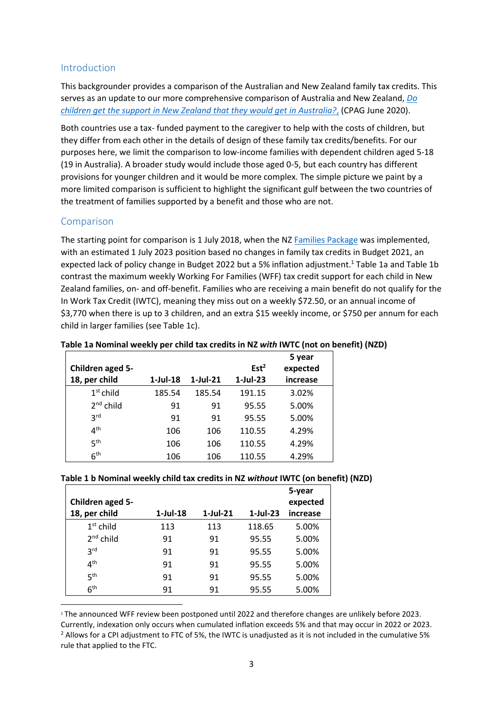#### Introduction

This backgrounder provides a comparison of the Australian and New Zealand family tax credits. This serves as an update to our more comprehensive comparison of Australia and New Zealand, *[Do](https://www.cpag.org.nz/assets/CPAG%20Background%20paper%20-%20Family%20tax%20credits%20comparison%20between%20NZ%20and%20Austrlia.pdf)  [children get the support in New Zealand that they would get in Australia?](https://www.cpag.org.nz/assets/CPAG%20Background%20paper%20-%20Family%20tax%20credits%20comparison%20between%20NZ%20and%20Austrlia.pdf)*, (CPAG June 2020).

Both countries use a tax- funded payment to the caregiver to help with the costs of children, but they differ from each other in the details of design of these family tax credits/benefits. For our purposes here, we limit the comparison to low-income families with dependent children aged 5-18 (19 in Australia). A broader study would include those aged 0-5, but each country has different provisions for younger children and it would be more complex. The simple picture we paint by a more limited comparison is sufficient to highlight the significant gulf between the two countries of the treatment of families supported by a benefit and those who are not.

#### Comparison

The starting point for comparison is 1 July 2018, when the NZ [Families Package](https://www.workandincome.govt.nz/about-work-and-income/news/2017/families-package.html?utm_source=redirect&utm_medium=189) was implemented, with an estimated 1 July 2023 position based no changes in family tax credits in Budget 2021, an expected lack of policy change in Budget 2022 but a 5% inflation adjustment. <sup>1</sup> Table 1a and Table 1b contrast the maximum weekly Working For Families (WFF) tax credit support for each child in New Zealand families, on- and off-benefit. Families who are receiving a main benefit do not qualify for the In Work Tax Credit (IWTC), meaning they miss out on a weekly \$72.50, or an annual income of \$3,770 when there is up to 3 children, and an extra \$15 weekly income, or \$750 per annum for each child in larger families (see Table 1c).

|                  |             |             |                  | 5 year   |
|------------------|-------------|-------------|------------------|----------|
| Children aged 5- |             |             | Est <sup>2</sup> | expected |
| 18, per child    | $1$ -Jul-18 | $1$ -Jul-21 | $1$ -Jul-23      | increase |
| $1st$ child      | 185.54      | 185.54      | 191.15           | 3.02%    |
| $2nd$ child      | 91          | 91          | 95.55            | 5.00%    |
| 3 <sup>rd</sup>  | 91          | 91          | 95.55            | 5.00%    |
| 4 <sup>th</sup>  | 106         | 106         | 110.55           | 4.29%    |
| 5 <sup>th</sup>  | 106         | 106         | 110.55           | 4.29%    |
| 6 <sup>th</sup>  | 106         | 106         | 110.55           | 4.29%    |

#### **Table 1a Nominal weekly per child tax credits in NZ** *with* **IWTC (not on benefit) (NZD)**

#### **Table 1 b Nominal weekly child tax credits in NZ** *without* **IWTC (on benefit) (NZD)**

|                  |                |             |            | 5-year   |
|------------------|----------------|-------------|------------|----------|
| Children aged 5- |                |             |            | expected |
| 18, per child    | $1$ -Jul- $18$ | $1$ -Jul-21 | $1-Jul-23$ | increase |
| $1st$ child      | 113            | 113         | 118.65     | 5.00%    |
| $2nd$ child      | 91             | 91          | 95.55      | 5.00%    |
| <b>2rd</b>       | 91             | 91          | 95.55      | 5.00%    |
| 4 <sup>th</sup>  | 91             | 91          | 95.55      | 5.00%    |
| 5 <sup>th</sup>  | 91             | 91          | 95.55      | 5.00%    |
| 6 <sup>th</sup>  | 91             | 91          | 95.55      | 5.00%    |

<sup>1</sup> The announced WFF review been postponed until 2022 and therefore changes are unlikely before 2023. Currently, indexation only occurs when cumulated inflation exceeds 5% and that may occur in 2022 or 2023. <sup>2</sup> Allows for a CPI adjustment to FTC of 5%, the IWTC is unadjusted as it is not included in the cumulative 5% rule that applied to the FTC.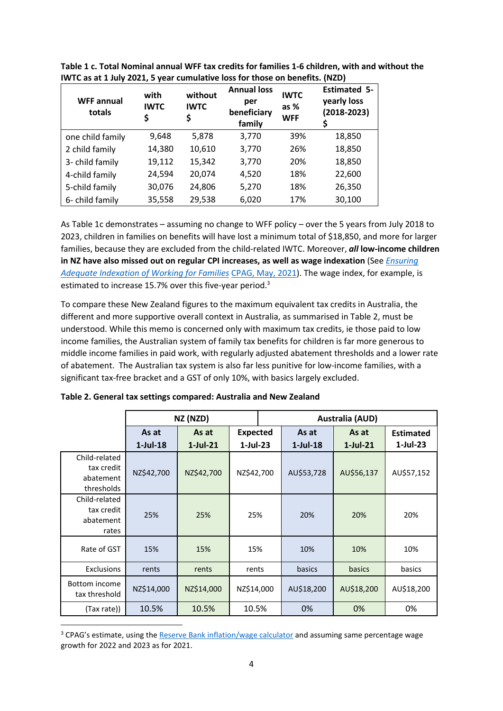| <b>WFF annual</b><br>totals | with<br><b>IWTC</b><br>Ş | without<br><b>IWTC</b><br>\$ | <b>Annual loss</b><br>per<br>beneficiary<br>family | <b>IWTC</b><br>as %<br><b>WFF</b> | <b>Estimated 5-</b><br>yearly loss<br>$(2018 - 2023)$ |
|-----------------------------|--------------------------|------------------------------|----------------------------------------------------|-----------------------------------|-------------------------------------------------------|
| one child family            | 9,648                    | 5,878                        | 3,770                                              | 39%                               | 18,850                                                |
| 2 child family              | 14,380                   | 10,610                       | 3,770                                              | 26%                               | 18,850                                                |
| 3- child family             | 19,112                   | 15,342                       | 3,770                                              | 20%                               | 18,850                                                |
| 4-child family              | 24,594                   | 20,074                       | 4,520                                              | 18%                               | 22,600                                                |
| 5-child family              | 30,076                   | 24,806                       | 5,270                                              | 18%                               | 26,350                                                |
| 6- child family             | 35,558                   | 29,538                       | 6,020                                              | 17%                               | 30,100                                                |

**Table 1 c. Total Nominal annual WFF tax credits for families 1-6 children, with and without the IWTC as at 1 July 2021, 5 year cumulative loss for those on benefits. (NZD)**

As Table 1c demonstrates – assuming no change to WFF policy – over the 5 years from July 2018 to 2023, children in families on benefits will have lost a minimum total of \$18,850, and more for larger families, because they are excluded from the child-related IWTC. Moreover, *all* **low-income children in NZ have also missed out on regular CPI increases, as well as wage indexation** (See *[Ensuring](https://www.cpag.org.nz/assets/WFFSeries1EnsuringAdequateIndexationofWorkingforFamilies5May2021.pdf)  [Adequate Indexation of Working for Families](https://www.cpag.org.nz/assets/WFFSeries1EnsuringAdequateIndexationofWorkingforFamilies5May2021.pdf)* [CPAG, May, 2021\)](https://www.cpag.org.nz/assets/WFFSeries1EnsuringAdequateIndexationofWorkingforFamilies5May2021.pdf). The wage index, for example, is estimated to increase 15.7% over this five-year period.<sup>3</sup>

To compare these New Zealand figures to the maximum equivalent tax credits in Australia, the different and more supportive overall context in Australia, as summarised in Table 2, must be understood. While this memo is concerned only with maximum tax credits, ie those paid to low income families, the Australian system of family tax benefits for children is far more generous to middle income families in paid work, with regularly adjusted abatement thresholds and a lower rate of abatement. The Australian tax system is also far less punitive for low-income families, with a significant tax-free bracket and a GST of only 10%, with basics largely excluded.

|                                                        |                         | NZ (NZD)             |                               | <b>Australia (AUD)</b> |                      |                      |                                 |
|--------------------------------------------------------|-------------------------|----------------------|-------------------------------|------------------------|----------------------|----------------------|---------------------------------|
|                                                        | As at<br>$1$ -Jul- $18$ | As at<br>$1$ -Jul-21 | <b>Expected</b><br>$1-Jul-23$ |                        | As at<br>$1$ -Jul-18 | As at<br>$1$ -Jul-21 | <b>Estimated</b><br>$1$ -Jul-23 |
| Child-related<br>tax credit<br>abatement<br>thresholds | NZ\$42,700              | NZ\$42,700           | NZ\$42,700                    |                        | AU\$53,728           | AU\$56,137           | AU\$57,152                      |
| Child-related<br>tax credit<br>abatement<br>rates      | 25%                     | 25%                  | 25%                           |                        | 20%                  | 20%                  | 20%                             |
| Rate of GST                                            | 15%                     | 15%                  | 15%                           |                        | 10%                  | 10%                  | 10%                             |
| <b>Exclusions</b>                                      | rents                   | rents                | rents                         |                        | basics               | basics               | basics                          |
| Bottom income<br>tax threshold                         | NZ\$14,000              | NZ\$14,000           | NZ\$14,000                    |                        | AU\$18,200           | AU\$18,200           | AU\$18,200                      |
| (Tax rate))                                            | 10.5%                   | 10.5%                | 10.5%                         |                        | 0%                   | 0%                   | 0%                              |

**Table 2. General tax settings compared: Australia and New Zealand** 

<sup>&</sup>lt;sup>3</sup> CPAG's estimate, using th[e Reserve Bank inflation/wage calculator](https://www.rbnz.govt.nz/monetary-policy/inflation-calculator) and assuming same percentage wage growth for 2022 and 2023 as for 2021.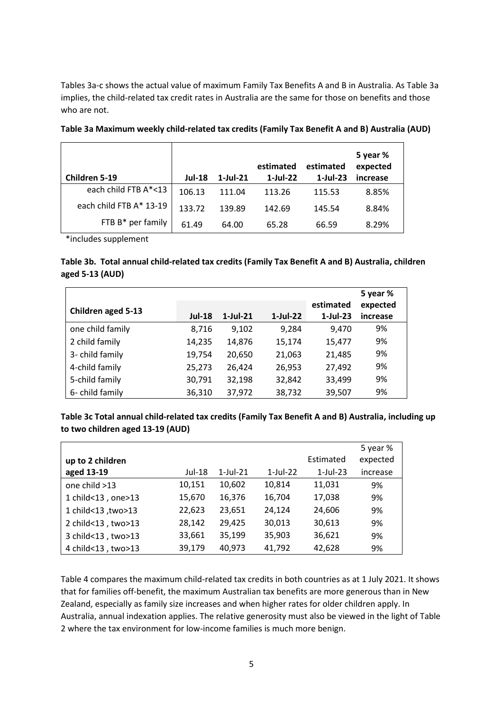Tables 3a-c shows the actual value of maximum Family Tax Benefits A and B in Australia. As Table 3a implies, the child-related tax credit rates in Australia are the same for those on benefits and those who are not.

| Children 5-19           | <b>Jul-18</b> | $1$ -Jul-21 | estimated<br>$1$ -Jul-22 | estimated<br>$1$ -Jul-23 | 5 year %<br>expected<br>increase |
|-------------------------|---------------|-------------|--------------------------|--------------------------|----------------------------------|
| each child FTB A*<13    | 106.13        | 111.04      | 113.26                   | 115.53                   | 8.85%                            |
| each child FTB A* 13-19 | 133.72        | 139.89      | 142.69                   | 145.54                   | 8.84%                            |
| FTB B* per family       | 61.49         | 64.00       | 65.28                    | 66.59                    | 8.29%                            |

**Table 3a Maximum weekly child-related tax credits (Family Tax Benefit A and B) Australia (AUD)**

\*includes supplement

#### **Table 3b. Total annual child-related tax credits (Family Tax Benefit A and B) Australia, children aged 5-13 (AUD)**

|                    |               |             |             |                          | 5 year %             |
|--------------------|---------------|-------------|-------------|--------------------------|----------------------|
| Children aged 5-13 | <b>Jul-18</b> | $1$ -Jul-21 | $1$ -Jul-22 | estimated<br>$1$ -Jul-23 | expected<br>increase |
| one child family   | 8,716         | 9,102       | 9.284       | 9,470                    | 9%                   |
| 2 child family     | 14,235        | 14,876      | 15,174      | 15,477                   | 9%                   |
| 3- child family    | 19,754        | 20,650      | 21,063      | 21,485                   | 9%                   |
| 4-child family     | 25,273        | 26,424      | 26,953      | 27,492                   | 9%                   |
| 5-child family     | 30,791        | 32,198      | 32,842      | 33,499                   | 9%                   |
| 6- child family    | 36,310        | 37,972      | 38,732      | 39,507                   | 9%                   |

#### **Table 3c Total annual child-related tax credits (Family Tax Benefit A and B) Australia, including up to two children aged 13-19 (AUD)**

|                    |        |                |             | Estimated   | 5 year %<br>expected |
|--------------------|--------|----------------|-------------|-------------|----------------------|
| up to 2 children   |        |                |             |             |                      |
| aged 13-19         | Jul-18 | $1$ -Jul- $21$ | $1$ -Jul-22 | $1$ -Jul-23 | increase             |
| one child >13      | 10,151 | 10,602         | 10,814      | 11,031      | 9%                   |
| 1 child<13, one>13 | 15,670 | 16,376         | 16,704      | 17,038      | 9%                   |
| 1 child<13, two>13 | 22,623 | 23,651         | 24,124      | 24,606      | 9%                   |
| 2 child<13, two>13 | 28,142 | 29,425         | 30,013      | 30,613      | 9%                   |
| 3 child<13, two>13 | 33,661 | 35,199         | 35,903      | 36,621      | 9%                   |
| 4 child<13, two>13 | 39,179 | 40,973         | 41,792      | 42,628      | 9%                   |

Table 4 compares the maximum child-related tax credits in both countries as at 1 July 2021. It shows that for families off-benefit, the maximum Australian tax benefits are more generous than in New Zealand, especially as family size increases and when higher rates for older children apply. In Australia, annual indexation applies. The relative generosity must also be viewed in the light of Table 2 where the tax environment for low-income families is much more benign.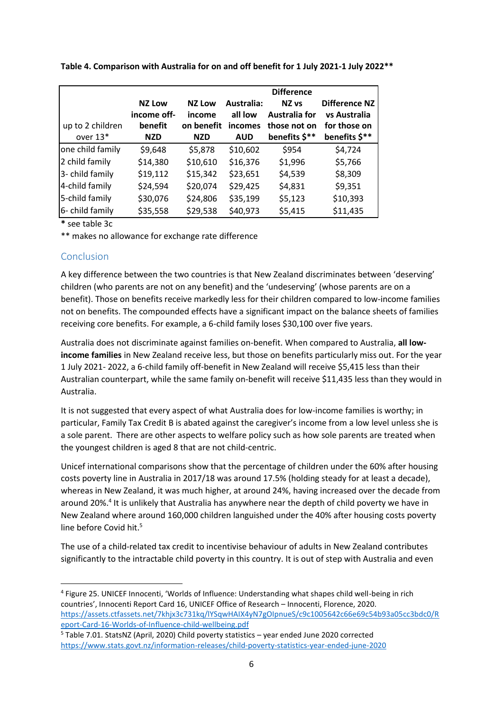|                  |               |               |            | <b>Difference</b> |               |
|------------------|---------------|---------------|------------|-------------------|---------------|
|                  | <b>NZ Low</b> | <b>NZ Low</b> | Australia: | NZ <sub>vs</sub>  | Difference NZ |
|                  | income off-   | income        | all low    | Australia for     | vs Australia  |
| up to 2 children | benefit       | on benefit    | incomes    | those not on      | for those on  |
| over 13*         | <b>NZD</b>    | <b>NZD</b>    | <b>AUD</b> | benefits \$**     | benefits \$** |
| one child family | \$9,648       | \$5,878       | \$10,602   | \$954             | \$4,724       |
| 2 child family   | \$14,380      | \$10,610      | \$16,376   | \$1,996           | \$5,766       |
| 3- child family  | \$19,112      | \$15,342      | \$23,651   | \$4,539           | \$8,309       |
| 4-child family   | \$24,594      | \$20,074      | \$29,425   | \$4,831           | \$9,351       |
| 5-child family   | \$30,076      | \$24,806      | \$35,199   | \$5,123           | \$10,393      |
| 6- child family  | \$35,558      | \$29,538      | \$40,973   | \$5,415           | \$11,435      |

**Table 4. Comparison with Australia for on and off benefit for 1 July 2021-1 July 2022\*\***

**\*** see table 3c

\*\* makes no allowance for exchange rate difference

#### Conclusion

A key difference between the two countries is that New Zealand discriminates between 'deserving' children (who parents are not on any benefit) and the 'undeserving' (whose parents are on a benefit). Those on benefits receive markedly less for their children compared to low-income families not on benefits. The compounded effects have a significant impact on the balance sheets of families receiving core benefits. For example, a 6-child family loses \$30,100 over five years.

Australia does not discriminate against families on-benefit. When compared to Australia, **all lowincome families** in New Zealand receive less, but those on benefits particularly miss out. For the year 1 July 2021- 2022, a 6-child family off-benefit in New Zealand will receive \$5,415 less than their Australian counterpart, while the same family on-benefit will receive \$11,435 less than they would in Australia.

It is not suggested that every aspect of what Australia does for low-income families is worthy; in particular, Family Tax Credit B is abated against the caregiver's income from a low level unless she is a sole parent. There are other aspects to welfare policy such as how sole parents are treated when the youngest children is aged 8 that are not child-centric.

Unicef international comparisons show that the percentage of children under the 60% after housing costs poverty line in Australia in 2017/18 was around 17.5% (holding steady for at least a decade), whereas in New Zealand, it was much higher, at around 24%, having increased over the decade from around 20%.<sup>4</sup> It is unlikely that Australia has anywhere near the depth of child poverty we have in New Zealand where around 160,000 children languished under the 40% after housing costs poverty line before Covid hit. 5

The use of a child-related tax credit to incentivise behaviour of adults in New Zealand contributes significantly to the intractable child poverty in this country. It is out of step with Australia and even

<sup>4</sup> Figure 25. UNICEF Innocenti, 'Worlds of Influence: Understanding what shapes child well-being in rich countries', Innocenti Report Card 16, UNICEF Office of Research – Innocenti, Florence, 2020. [https://assets.ctfassets.net/7khjx3c731kq/lYSqwHAIX4yN7gOIpnueS/c9c1005642c66e69c54b93a05cc3bdc0/R](https://assets.ctfassets.net/7khjx3c731kq/lYSqwHAIX4yN7gOIpnueS/c9c1005642c66e69c54b93a05cc3bdc0/Report-Card-16-Worlds-of-Influence-child-wellbeing.pdf) [eport-Card-16-Worlds-of-Influence-child-wellbeing.pdf](https://assets.ctfassets.net/7khjx3c731kq/lYSqwHAIX4yN7gOIpnueS/c9c1005642c66e69c54b93a05cc3bdc0/Report-Card-16-Worlds-of-Influence-child-wellbeing.pdf)

<sup>5</sup> Table 7.01. StatsNZ (April, 2020) Child poverty statistics – year ended June 2020 corrected <https://www.stats.govt.nz/information-releases/child-poverty-statistics-year-ended-june-2020>